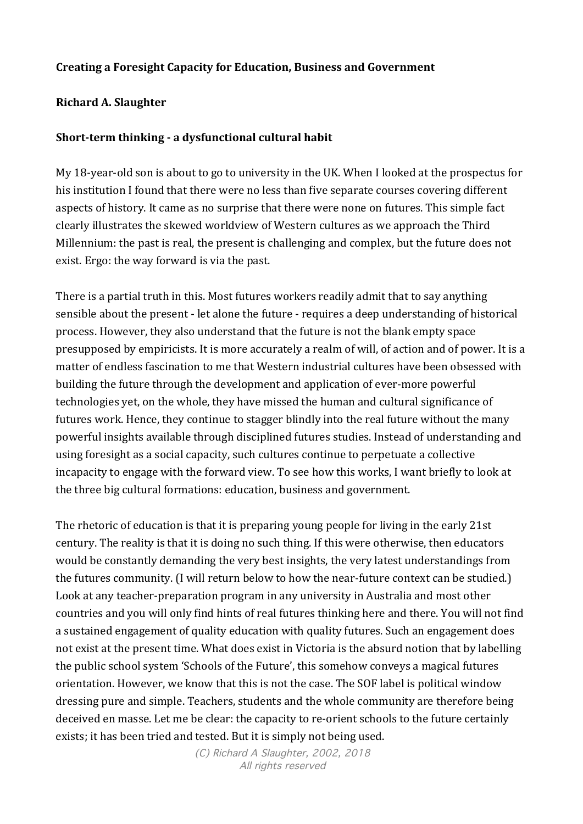# **Creating a Foresight Capacity for Education, Business and Government**

### **Richard A. Slaughter**

### **Short-term thinking - a dysfunctional cultural habit**

My 18-year-old son is about to go to university in the UK. When I looked at the prospectus for his institution I found that there were no less than five separate courses covering different aspects of history. It came as no surprise that there were none on futures. This simple fact clearly illustrates the skewed worldview of Western cultures as we approach the Third Millennium: the past is real, the present is challenging and complex, but the future does not exist. Ergo: the way forward is via the past.

There is a partial truth in this. Most futures workers readily admit that to say anything sensible about the present - let alone the future - requires a deep understanding of historical process. However, they also understand that the future is not the blank empty space presupposed by empiricists. It is more accurately a realm of will, of action and of power. It is a matter of endless fascination to me that Western industrial cultures have been obsessed with building the future through the development and application of ever-more powerful technologies yet, on the whole, they have missed the human and cultural significance of futures work. Hence, they continue to stagger blindly into the real future without the many powerful insights available through disciplined futures studies. Instead of understanding and using foresight as a social capacity, such cultures continue to perpetuate a collective incapacity to engage with the forward view. To see how this works, I want briefly to look at the three big cultural formations: education, business and government.

The rhetoric of education is that it is preparing young people for living in the early 21st century. The reality is that it is doing no such thing. If this were otherwise, then educators would be constantly demanding the very best insights, the very latest understandings from the futures community. (I will return below to how the near-future context can be studied.) Look at any teacher-preparation program in any university in Australia and most other countries and you will only find hints of real futures thinking here and there. You will not find a sustained engagement of quality education with quality futures. Such an engagement does not exist at the present time. What does exist in Victoria is the absurd notion that by labelling the public school system 'Schools of the Future', this somehow conveys a magical futures orientation. However, we know that this is not the case. The SOF label is political window dressing pure and simple. Teachers, students and the whole community are therefore being deceived en masse. Let me be clear: the capacity to re-orient schools to the future certainly exists; it has been tried and tested. But it is simply not being used.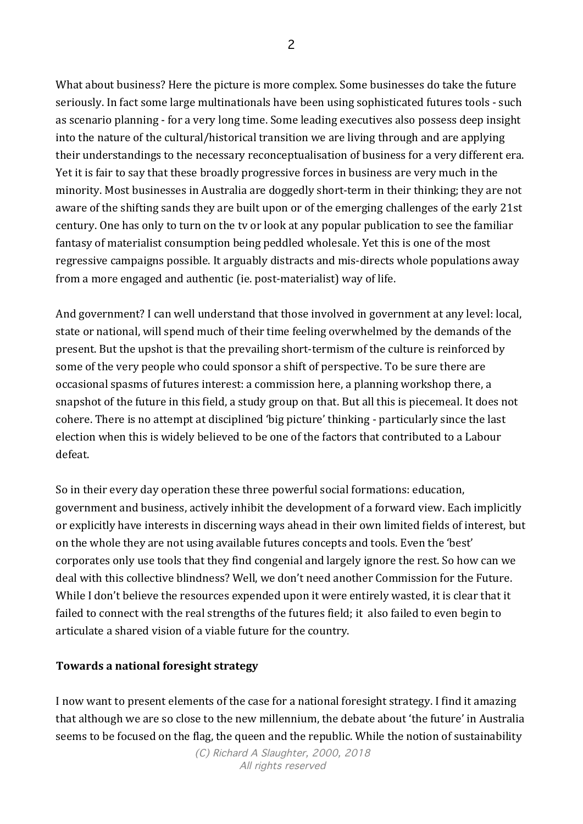What about business? Here the picture is more complex. Some businesses do take the future seriously. In fact some large multinationals have been using sophisticated futures tools - such as scenario planning - for a very long time. Some leading executives also possess deep insight into the nature of the cultural/historical transition we are living through and are applying their understandings to the necessary reconceptualisation of business for a very different era. Yet it is fair to say that these broadly progressive forces in business are very much in the minority. Most businesses in Australia are doggedly short-term in their thinking; they are not aware of the shifting sands they are built upon or of the emerging challenges of the early 21st century. One has only to turn on the tv or look at any popular publication to see the familiar fantasy of materialist consumption being peddled wholesale. Yet this is one of the most regressive campaigns possible. It arguably distracts and mis-directs whole populations away from a more engaged and authentic (ie. post-materialist) way of life.

And government? I can well understand that those involved in government at any level: local, state or national, will spend much of their time feeling overwhelmed by the demands of the present. But the upshot is that the prevailing short-termism of the culture is reinforced by some of the very people who could sponsor a shift of perspective. To be sure there are occasional spasms of futures interest: a commission here, a planning workshop there, a snapshot of the future in this field, a study group on that. But all this is piecemeal. It does not cohere. There is no attempt at disciplined 'big picture' thinking - particularly since the last election when this is widely believed to be one of the factors that contributed to a Labour defeat.

So in their every day operation these three powerful social formations: education, government and business, actively inhibit the development of a forward view. Each implicitly or explicitly have interests in discerning ways ahead in their own limited fields of interest, but on the whole they are not using available futures concepts and tools. Even the 'best' corporates only use tools that they find congenial and largely ignore the rest. So how can we deal with this collective blindness? Well, we don't need another Commission for the Future. While I don't believe the resources expended upon it were entirely wasted, it is clear that it failed to connect with the real strengths of the futures field; it also failed to even begin to articulate a shared vision of a viable future for the country.

### **Towards a national foresight strategy**

I now want to present elements of the case for a national foresight strategy. I find it amazing that although we are so close to the new millennium, the debate about 'the future' in Australia seems to be focused on the flag, the queen and the republic. While the notion of sustainability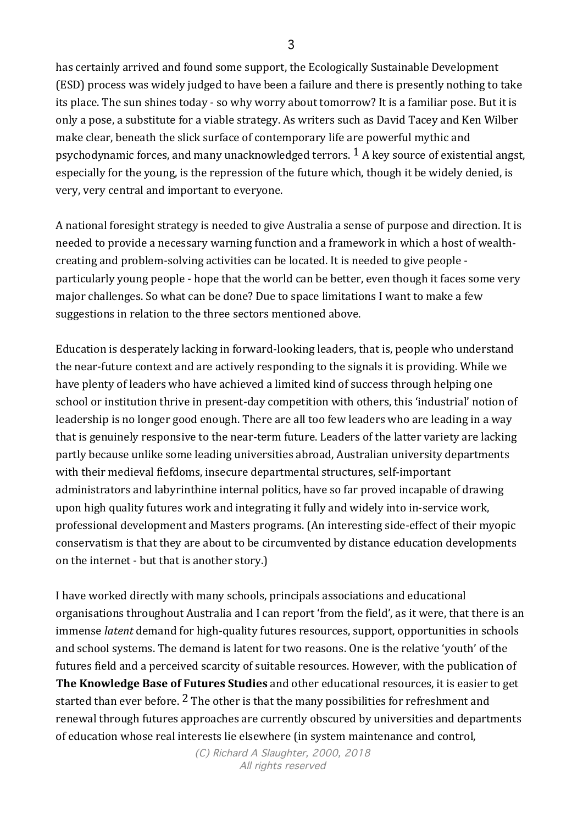has certainly arrived and found some support, the Ecologically Sustainable Development (ESD) process was widely judged to have been a failure and there is presently nothing to take its place. The sun shines today - so why worry about tomorrow? It is a familiar pose. But it is only a pose, a substitute for a viable strategy. As writers such as David Tacey and Ken Wilber make clear, beneath the slick surface of contemporary life are powerful mythic and psychodynamic forces, and many unacknowledged terrors.  $\frac{1}{1}$  A key source of existential angst, especially for the young, is the repression of the future which, though it be widely denied, is very, very central and important to everyone.

A national foresight strategy is needed to give Australia a sense of purpose and direction. It is needed to provide a necessary warning function and a framework in which a host of wealthcreating and problem-solving activities can be located. It is needed to give people particularly young people - hope that the world can be better, even though it faces some very major challenges. So what can be done? Due to space limitations I want to make a few suggestions in relation to the three sectors mentioned above.

Education is desperately lacking in forward-looking leaders, that is, people who understand the near-future context and are actively responding to the signals it is providing. While we have plenty of leaders who have achieved a limited kind of success through helping one school or institution thrive in present-day competition with others, this 'industrial' notion of leadership is no longer good enough. There are all too few leaders who are leading in a way that is genuinely responsive to the near-term future. Leaders of the latter variety are lacking partly because unlike some leading universities abroad, Australian university departments with their medieval fiefdoms, insecure departmental structures, self-important administrators and labyrinthine internal politics, have so far proved incapable of drawing upon high quality futures work and integrating it fully and widely into in-service work, professional development and Masters programs. (An interesting side-effect of their myopic conservatism is that they are about to be circumvented by distance education developments on the internet - but that is another story.)

I have worked directly with many schools, principals associations and educational organisations throughout Australia and I can report 'from the field', as it were, that there is an immense *latent* demand for high-quality futures resources, support, opportunities in schools and school systems. The demand is latent for two reasons. One is the relative 'youth' of the futures field and a perceived scarcity of suitable resources. However, with the publication of **The Knowledge Base of Futures Studies** and other educational resources, it is easier to get started than ever before.  $2$  The other is that the many possibilities for refreshment and renewal through futures approaches are currently obscured by universities and departments of education whose real interests lie elsewhere (in system maintenance and control,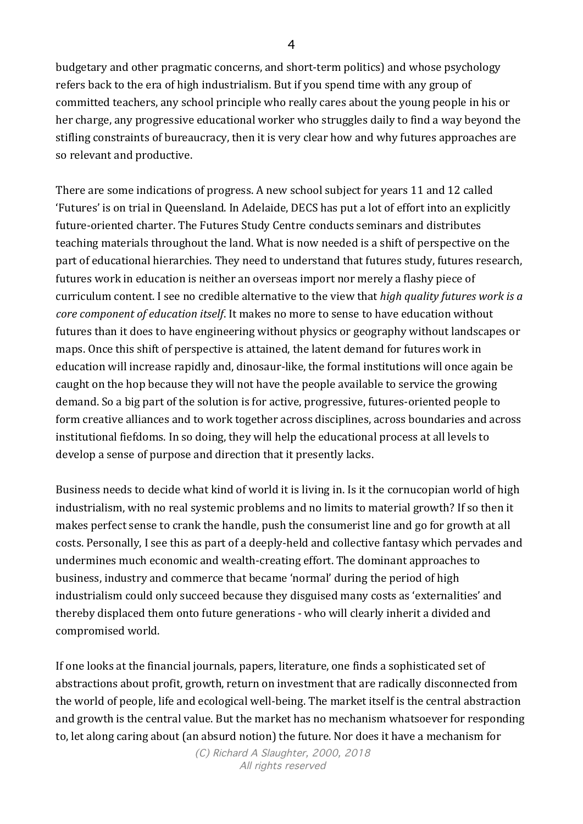budgetary and other pragmatic concerns, and short-term politics) and whose psychology refers back to the era of high industrialism. But if you spend time with any group of committed teachers, any school principle who really cares about the young people in his or her charge, any progressive educational worker who struggles daily to find a way beyond the stifling constraints of bureaucracy, then it is very clear how and why futures approaches are so relevant and productive.

There are some indications of progress. A new school subject for years 11 and 12 called 'Futures' is on trial in Queensland. In Adelaide, DECS has put a lot of effort into an explicitly future-oriented charter. The Futures Study Centre conducts seminars and distributes teaching materials throughout the land. What is now needed is a shift of perspective on the part of educational hierarchies. They need to understand that futures study, futures research, futures work in education is neither an overseas import nor merely a flashy piece of curriculum content. I see no credible alternative to the view that *high quality futures work is a core component of education itself.* It makes no more to sense to have education without futures than it does to have engineering without physics or geography without landscapes or maps. Once this shift of perspective is attained, the latent demand for futures work in education will increase rapidly and, dinosaur-like, the formal institutions will once again be caught on the hop because they will not have the people available to service the growing demand. So a big part of the solution is for active, progressive, futures-oriented people to form creative alliances and to work together across disciplines, across boundaries and across institutional fiefdoms. In so doing, they will help the educational process at all levels to develop a sense of purpose and direction that it presently lacks.

Business needs to decide what kind of world it is living in. Is it the cornucopian world of high industrialism, with no real systemic problems and no limits to material growth? If so then it makes perfect sense to crank the handle, push the consumerist line and go for growth at all costs. Personally, I see this as part of a deeply-held and collective fantasy which pervades and undermines much economic and wealth-creating effort. The dominant approaches to business, industry and commerce that became 'normal' during the period of high industrialism could only succeed because they disguised many costs as 'externalities' and thereby displaced them onto future generations - who will clearly inherit a divided and compromised world.

If one looks at the financial journals, papers, literature, one finds a sophisticated set of abstractions about profit, growth, return on investment that are radically disconnected from the world of people, life and ecological well-being. The market itself is the central abstraction and growth is the central value. But the market has no mechanism whatsoever for responding to, let along caring about (an absurd notion) the future. Nor does it have a mechanism for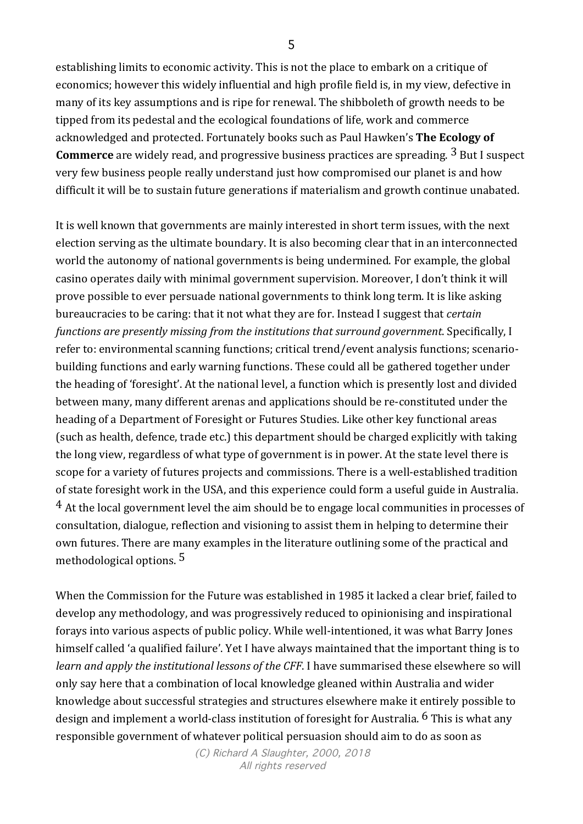establishing limits to economic activity. This is not the place to embark on a critique of economics; however this widely influential and high profile field is, in my view, defective in many of its key assumptions and is ripe for renewal. The shibboleth of growth needs to be tipped from its pedestal and the ecological foundations of life, work and commerce acknowledged and protected. Fortunately books such as Paul Hawken's The Ecology of **Commerce** are widely read, and progressive business practices are spreading. <sup>3</sup> But I suspect very few business people really understand just how compromised our planet is and how difficult it will be to sustain future generations if materialism and growth continue unabated.

It is well known that governments are mainly interested in short term issues, with the next election serving as the ultimate boundary. It is also becoming clear that in an interconnected world the autonomy of national governments is being undermined. For example, the global casino operates daily with minimal government supervision. Moreover, I don't think it will prove possible to ever persuade national governments to think long term. It is like asking bureaucracies to be caring: that it not what they are for. Instead I suggest that *certain functions are presently missing from the institutions that surround government.* Specifically, I refer to: environmental scanning functions; critical trend/event analysis functions; scenariobuilding functions and early warning functions. These could all be gathered together under the heading of 'foresight'. At the national level, a function which is presently lost and divided between many, many different arenas and applications should be re-constituted under the heading of a Department of Foresight or Futures Studies. Like other key functional areas (such as health, defence, trade etc.) this department should be charged explicitly with taking the long view, regardless of what type of government is in power. At the state level there is scope for a variety of futures projects and commissions. There is a well-established tradition of state foresight work in the USA, and this experience could form a useful guide in Australia.  $4$  At the local government level the aim should be to engage local communities in processes of consultation, dialogue, reflection and visioning to assist them in helping to determine their own futures. There are many examples in the literature outlining some of the practical and methodological options.  $5$ 

When the Commission for the Future was established in 1985 it lacked a clear brief, failed to develop any methodology, and was progressively reduced to opinionising and inspirational forays into various aspects of public policy. While well-intentioned, it was what Barry Jones himself called 'a qualified failure'. Yet I have always maintained that the important thing is to *learn and apply the institutional lessons of the CFF*. I have summarised these elsewhere so will only say here that a combination of local knowledge gleaned within Australia and wider knowledge about successful strategies and structures elsewhere make it entirely possible to design and implement a world-class institution of foresight for Australia.  $6$  This is what any responsible government of whatever political persuasion should aim to do as soon as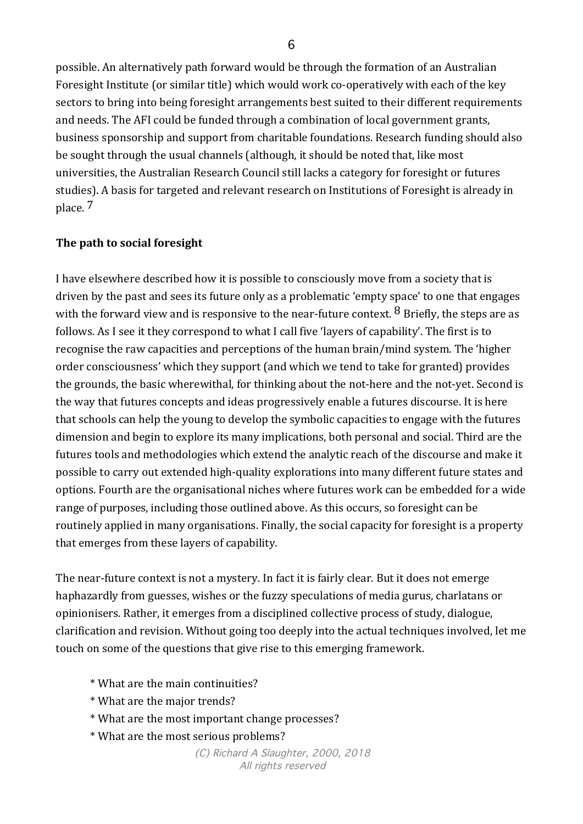possible. An alternatively path forward would be through the formation of an Australian Foresight Institute (or similar title) which would work co-operatively with each of the key sectors to bring into being foresight arrangements best suited to their different requirements and needs. The AFI could be funded through a combination of local government grants, business sponsorship and support from charitable foundations. Research funding should also be sought through the usual channels (although, it should be noted that, like most universities, the Australian Research Council still lacks a category for foresight or futures studies). A basis for targeted and relevant research on Institutions of Foresight is already in place. 7

# The path to social foresight

I have elsewhere described how it is possible to consciously move from a society that is driven by the past and sees its future only as a problematic 'empty space' to one that engages with the forward view and is responsive to the near-future context.  $8$  Briefly, the steps are as follows. As I see it they correspond to what I call five 'layers of capability'. The first is to recognise the raw capacities and perceptions of the human brain/mind system. The 'higher order consciousness' which they support (and which we tend to take for granted) provides the grounds, the basic wherewithal, for thinking about the not-here and the not-yet. Second is the way that futures concepts and ideas progressively enable a futures discourse. It is here that schools can help the young to develop the symbolic capacities to engage with the futures dimension and begin to explore its many implications, both personal and social. Third are the futures tools and methodologies which extend the analytic reach of the discourse and make it possible to carry out extended high-quality explorations into many different future states and options. Fourth are the organisational niches where futures work can be embedded for a wide range of purposes, including those outlined above. As this occurs, so foresight can be routinely applied in many organisations. Finally, the social capacity for foresight is a property that emerges from these layers of capability.

The near-future context is not a mystery. In fact it is fairly clear. But it does not emerge haphazardly from guesses, wishes or the fuzzy speculations of media gurus, charlatans or opinionisers. Rather, it emerges from a disciplined collective process of study, dialogue, clarification and revision. Without going too deeply into the actual techniques involved, let me touch on some of the questions that give rise to this emerging framework.

- \* What are the main continuities?
- \* What are the major trends?
- \* What are the most important change processes?
- \* What are the most serious problems?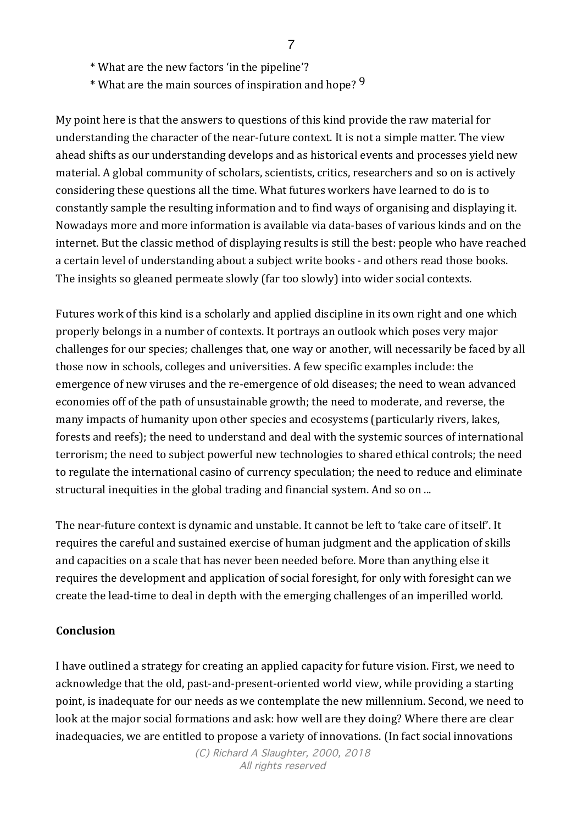- \* What are the new factors 'in the pipeline'?
- \* What are the main sources of inspiration and hope? 9

My point here is that the answers to questions of this kind provide the raw material for understanding the character of the near-future context. It is not a simple matter. The view ahead shifts as our understanding develops and as historical events and processes yield new material. A global community of scholars, scientists, critics, researchers and so on is actively considering these questions all the time. What futures workers have learned to do is to constantly sample the resulting information and to find ways of organising and displaying it. Nowadays more and more information is available via data-bases of various kinds and on the internet. But the classic method of displaying results is still the best: people who have reached a certain level of understanding about a subject write books - and others read those books. The insights so gleaned permeate slowly (far too slowly) into wider social contexts.

Futures work of this kind is a scholarly and applied discipline in its own right and one which properly belongs in a number of contexts. It portrays an outlook which poses very major challenges for our species; challenges that, one way or another, will necessarily be faced by all those now in schools, colleges and universities. A few specific examples include: the emergence of new viruses and the re-emergence of old diseases; the need to wean advanced economies off of the path of unsustainable growth; the need to moderate, and reverse, the many impacts of humanity upon other species and ecosystems (particularly rivers, lakes, forests and reefs); the need to understand and deal with the systemic sources of international terrorism; the need to subject powerful new technologies to shared ethical controls; the need to regulate the international casino of currency speculation; the need to reduce and eliminate structural inequities in the global trading and financial system. And so on ...

The near-future context is dynamic and unstable. It cannot be left to 'take care of itself'. It requires the careful and sustained exercise of human judgment and the application of skills and capacities on a scale that has never been needed before. More than anything else it requires the development and application of social foresight, for only with foresight can we create the lead-time to deal in depth with the emerging challenges of an imperilled world.

#### **Conclusion**

I have outlined a strategy for creating an applied capacity for future vision. First, we need to acknowledge that the old, past-and-present-oriented world view, while providing a starting point, is inadequate for our needs as we contemplate the new millennium. Second, we need to look at the major social formations and ask: how well are they doing? Where there are clear inadequacies, we are entitled to propose a variety of innovations. (In fact social innovations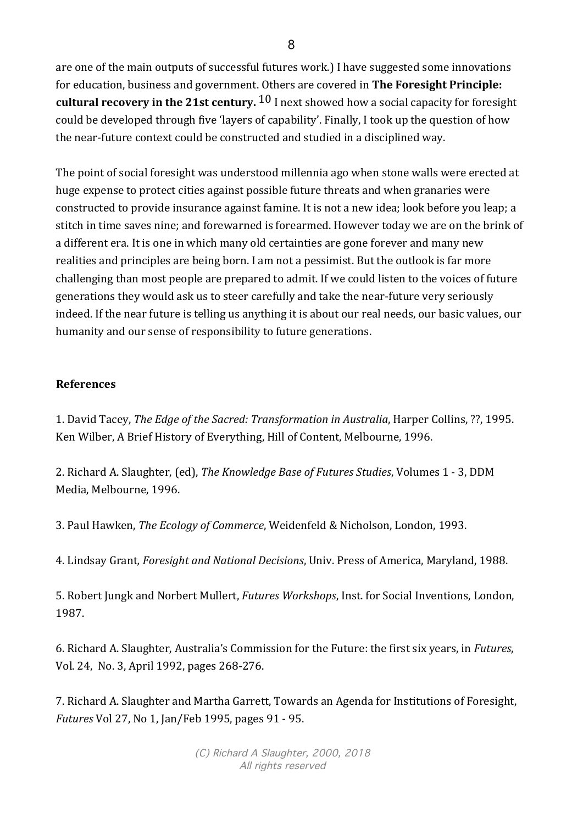are one of the main outputs of successful futures work.) I have suggested some innovations for education, business and government. Others are covered in **The Foresight Principle: cultural recovery in the 21st century.**  $10$  I next showed how a social capacity for foresight could be developed through five 'layers of capability'. Finally, I took up the question of how the near-future context could be constructed and studied in a disciplined way.

The point of social foresight was understood millennia ago when stone walls were erected at huge expense to protect cities against possible future threats and when granaries were constructed to provide insurance against famine. It is not a new idea; look before you leap; a stitch in time saves nine; and forewarned is forearmed. However today we are on the brink of a different era. It is one in which many old certainties are gone forever and many new realities and principles are being born. I am not a pessimist. But the outlook is far more challenging than most people are prepared to admit. If we could listen to the voices of future generations they would ask us to steer carefully and take the near-future very seriously indeed. If the near future is telling us anything it is about our real needs, our basic values, our humanity and our sense of responsibility to future generations.

### **References**

1. David Tacey, *The Edge of the Sacred: Transformation in Australia*, Harper Collins, ??, 1995. Ken Wilber, A Brief History of Everything, Hill of Content, Melbourne, 1996.

2. Richard A. Slaughter, (ed), *The Knowledge Base of Futures Studies*, Volumes 1 - 3, DDM Media, Melbourne, 1996.

3. Paul Hawken, *The Ecology of Commerce*, Weidenfeld & Nicholson, London, 1993.

4. Lindsay Grant, *Foresight and National Decisions*, Univ. Press of America, Maryland, 1988.

5. Robert Jungk and Norbert Mullert, *Futures Workshops*, Inst. for Social Inventions, London, 1987.

6. Richard A. Slaughter, Australia's Commission for the Future: the first six years, in *Futures*, Vol. 24, No. 3, April 1992, pages 268-276.

7. Richard A. Slaughter and Martha Garrett, Towards an Agenda for Institutions of Foresight, *Futures* Vol 27, No 1, Jan/Feb 1995, pages 91 - 95.